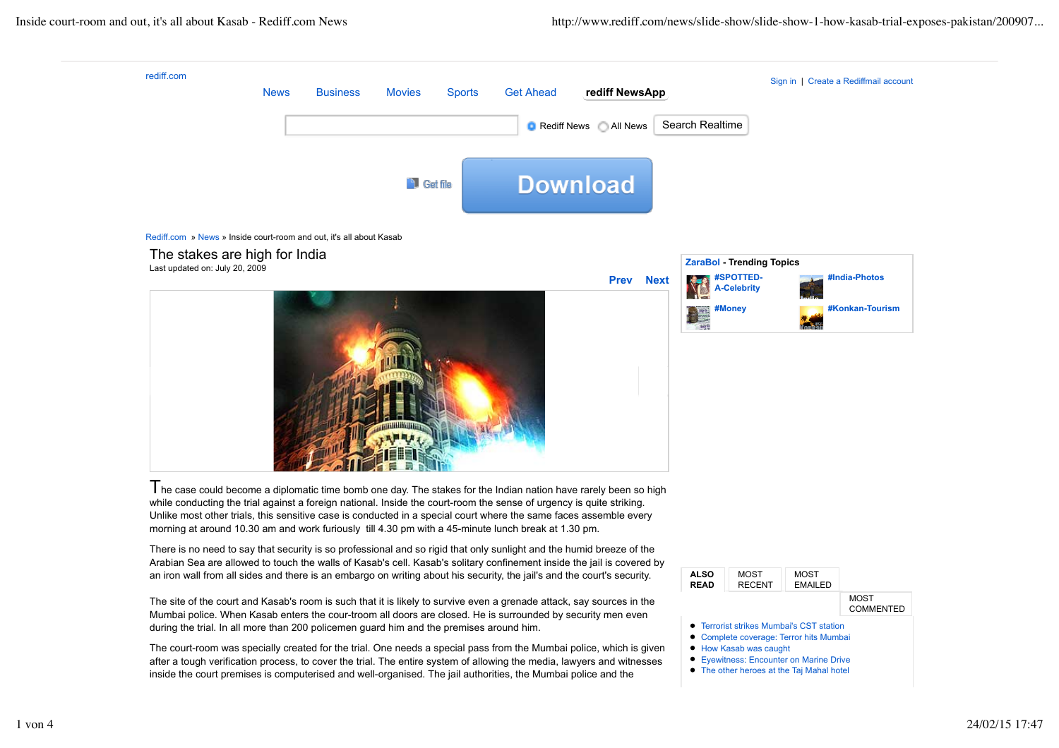

inside the court premises is computerised and well-organised. The jail authorities, the Mumbai police and the